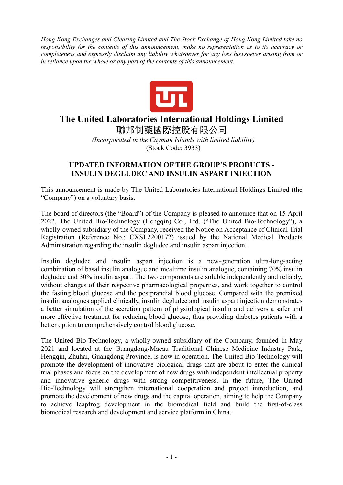*Hong Kong Exchanges and Clearing Limited and The Stock Exchange of Hong Kong Limited take no responsibility for the contents of this announcement, make no representation as to its accuracy or completeness and expressly disclaim any liability whatsoever for any loss howsoever arising from or in reliance upon the whole or any part of the contents of this announcement.* 



## **The United Laboratories International Holdings Limited**  聯邦制藥國際控股有限公司

 *(Incorporated in the Cayman Islands with limited liability)*  (Stock Code: 3933)

## **UPDATED INFORMATION OF THE GROUP'S PRODUCTS - INSULIN DEGLUDEC AND INSULIN ASPART INJECTION**

This announcement is made by The United Laboratories International Holdings Limited (the "Company") on a voluntary basis.

The board of directors (the "Board") of the Company is pleased to announce that on 15 April 2022, The United Bio-Technology (Hengqin) Co., Ltd. ("The United Bio-Technology"), a wholly-owned subsidiary of the Company, received the Notice on Acceptance of Clinical Trial Registration (Reference No.: CXSL2200172) issued by the National Medical Products Administration regarding the insulin degludec and insulin aspart injection.

Insulin degludec and insulin aspart injection is a new-generation ultra-long-acting combination of basal insulin analogue and mealtime insulin analogue, containing 70% insulin degludec and 30% insulin aspart. The two components are soluble independently and reliably, without changes of their respective pharmacological properties, and work together to control the fasting blood glucose and the postprandial blood glucose. Compared with the premixed insulin analogues applied clinically, insulin degludec and insulin aspart injection demonstrates a better simulation of the secretion pattern of physiological insulin and delivers a safer and more effective treatment for reducing blood glucose, thus providing diabetes patients with a better option to comprehensively control blood glucose.

The United Bio-Technology, a wholly-owned subsidiary of the Company, founded in May 2021 and located at the Guangdong-Macau Traditional Chinese Medicine Industry Park, Hengqin, Zhuhai, Guangdong Province, is now in operation. The United Bio-Technology will promote the development of innovative biological drugs that are about to enter the clinical trial phases and focus on the development of new drugs with independent intellectual property and innovative generic drugs with strong competitiveness. In the future, The United Bio-Technology will strengthen international cooperation and project introduction, and promote the development of new drugs and the capital operation, aiming to help the Company to achieve leapfrog development in the biomedical field and build the first-of-class biomedical research and development and service platform in China.